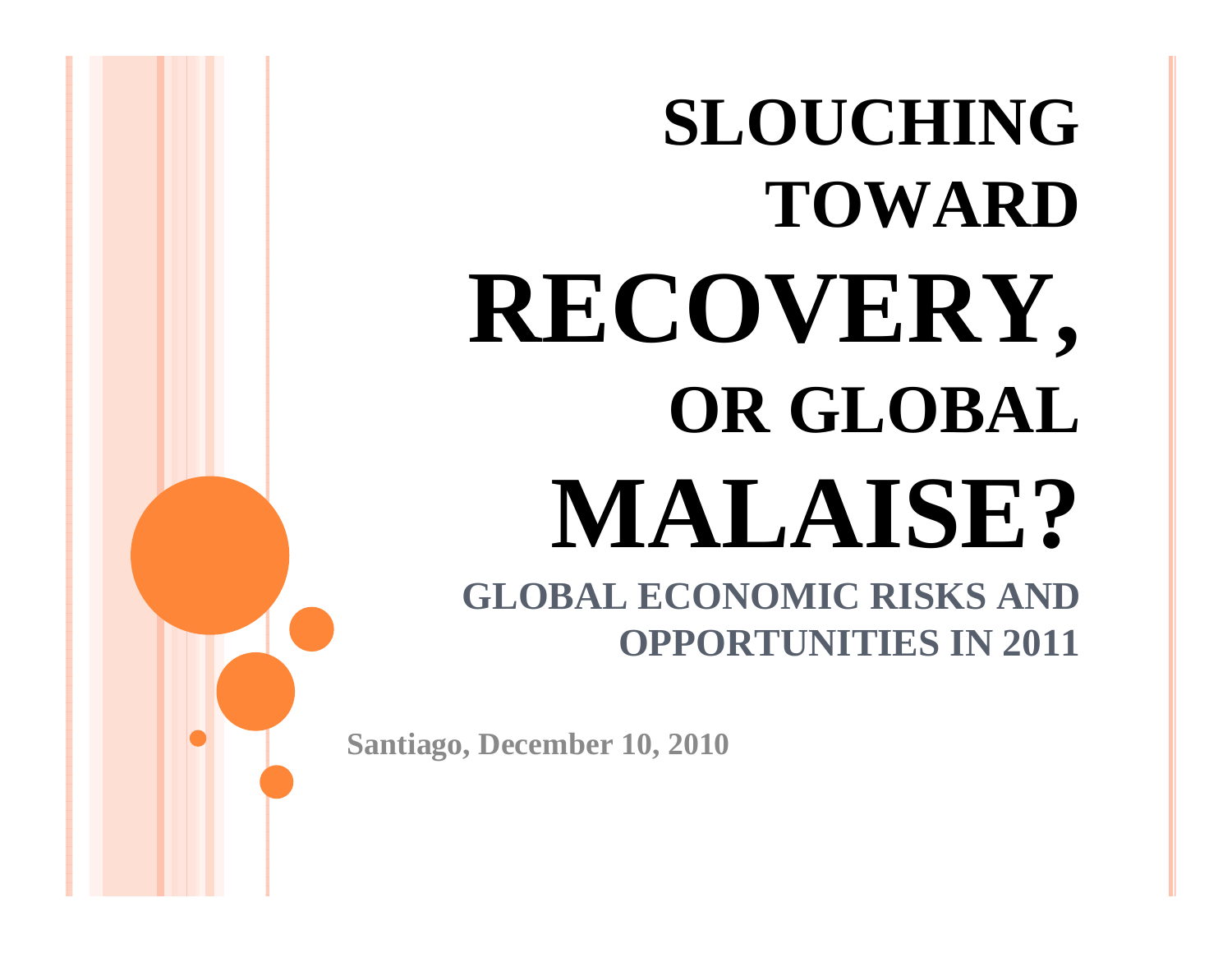# **SLOUCHING TOWARD RECOVERY, OR GLOBAL MALAISE? GLOBAL ECONOMIC RISKS AND**

**OPPORTUNITIES IN 2011**

**Santiago, December 10, 2010**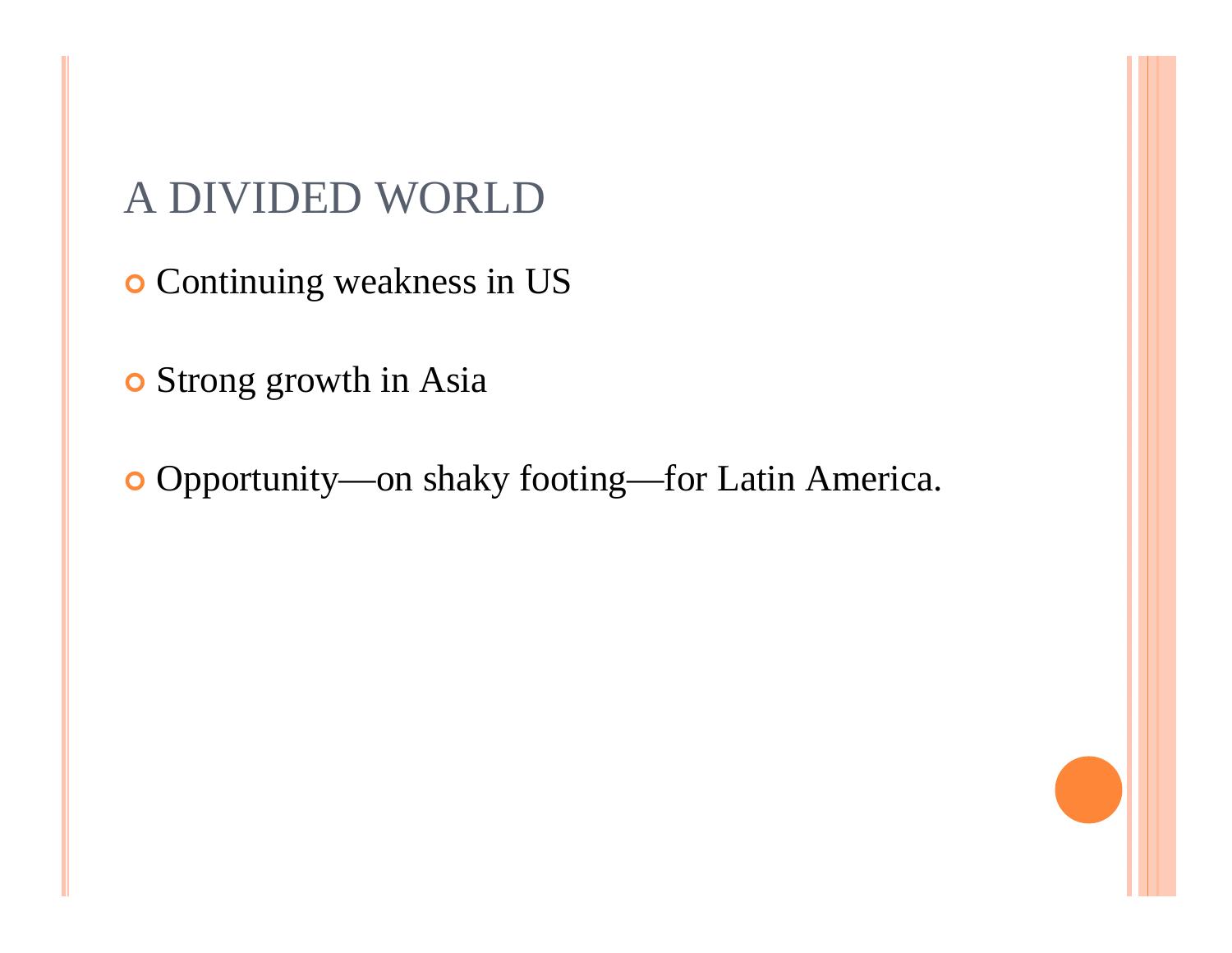A DIVIDED WORLD

**o** Continuing weakness in US

**o** Strong growth in Asia

Opportunity—on shaky footing—for Latin America.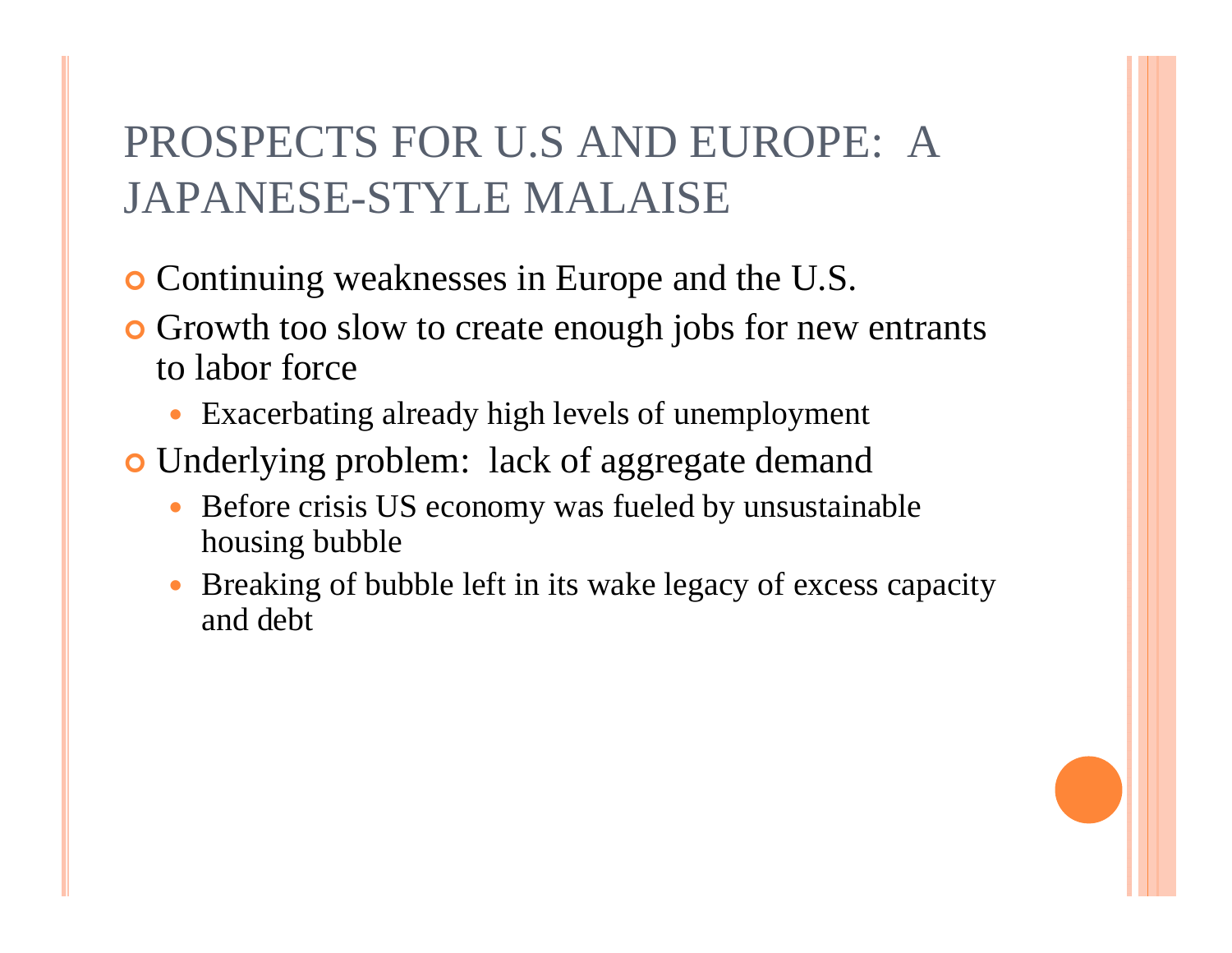# PROSPECTS FOR U.S AND EUROPE: A JAPANESE-STYLE MALAISE

- **o** Continuing weaknesses in Europe and the U.S.
- **•** Growth too slow to create enough jobs for new entrants to labor force
	- 0 Exacerbating already high levels of unemployment
- **o** Underlying problem: lack of aggregate demand
	- 0 Before crisis US economy was fueled by unsustainable housing bubble
	- 0 Breaking of bubble left in its wake legacy of excess capacity and debt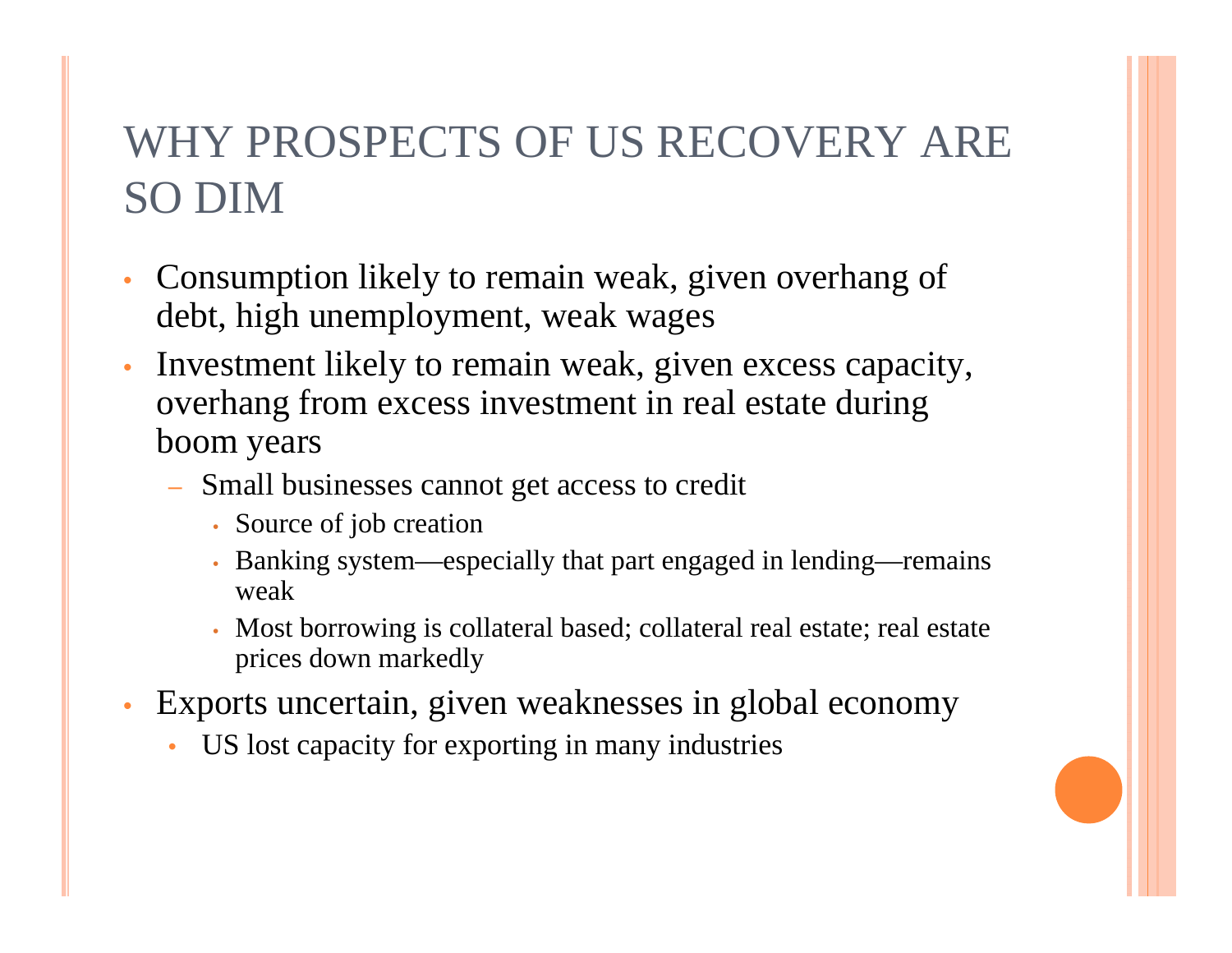# WHY PROSPECTS OF US RECOVERY ARE SO DIM

- Consumption likely to remain weak, given overhang of debt, high unemployment, weak wages
- Investment likely to remain weak, given excess capacity, overhang from excess investment in real estate during boom years
	- Small businesses cannot get access to credit
		- Source of job creation
		- Banking system—especially that part engaged in lending—remains weak
		- Most borrowing is collateral based; collateral real estate; real estate prices down markedly
- Exports uncertain, given weaknesses in global economy
	- US lost capacity for exporting in many industries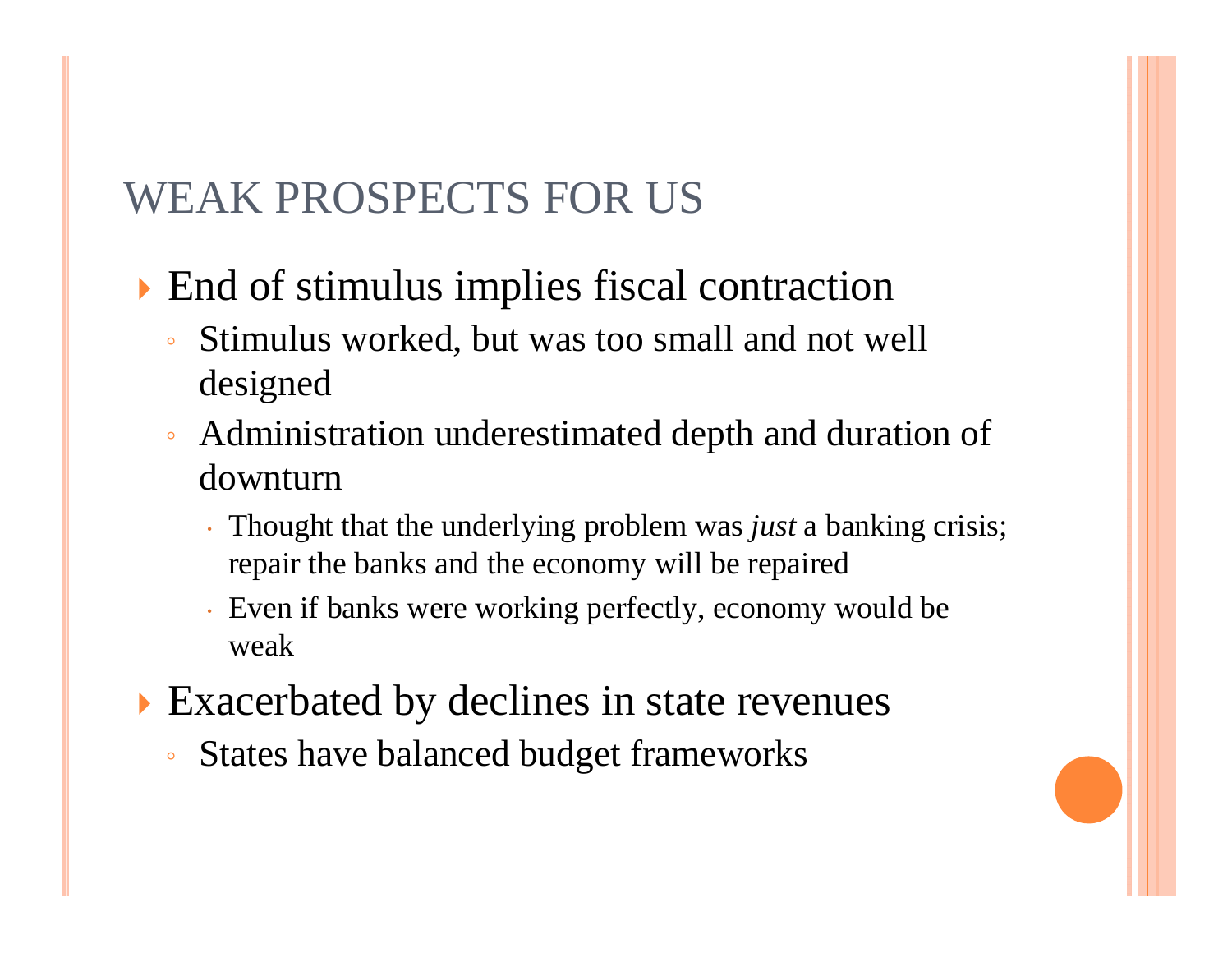#### WEAK PROSPECTS FOR US

- End of stimulus implies fiscal contraction
	- $^{\circ}$  Stimulus worked, but was too small and not well designed
	- Administration underestimated depth and duration of downturn
		- Thought that the underlying problem was *just* a banking crisis; repair the banks and the economy will be repaired
		- Even if banks were working perfectly, economy would be weak
- Exacerbated by declines in state revenues
	- $\bullet$ States have balanced budget frameworks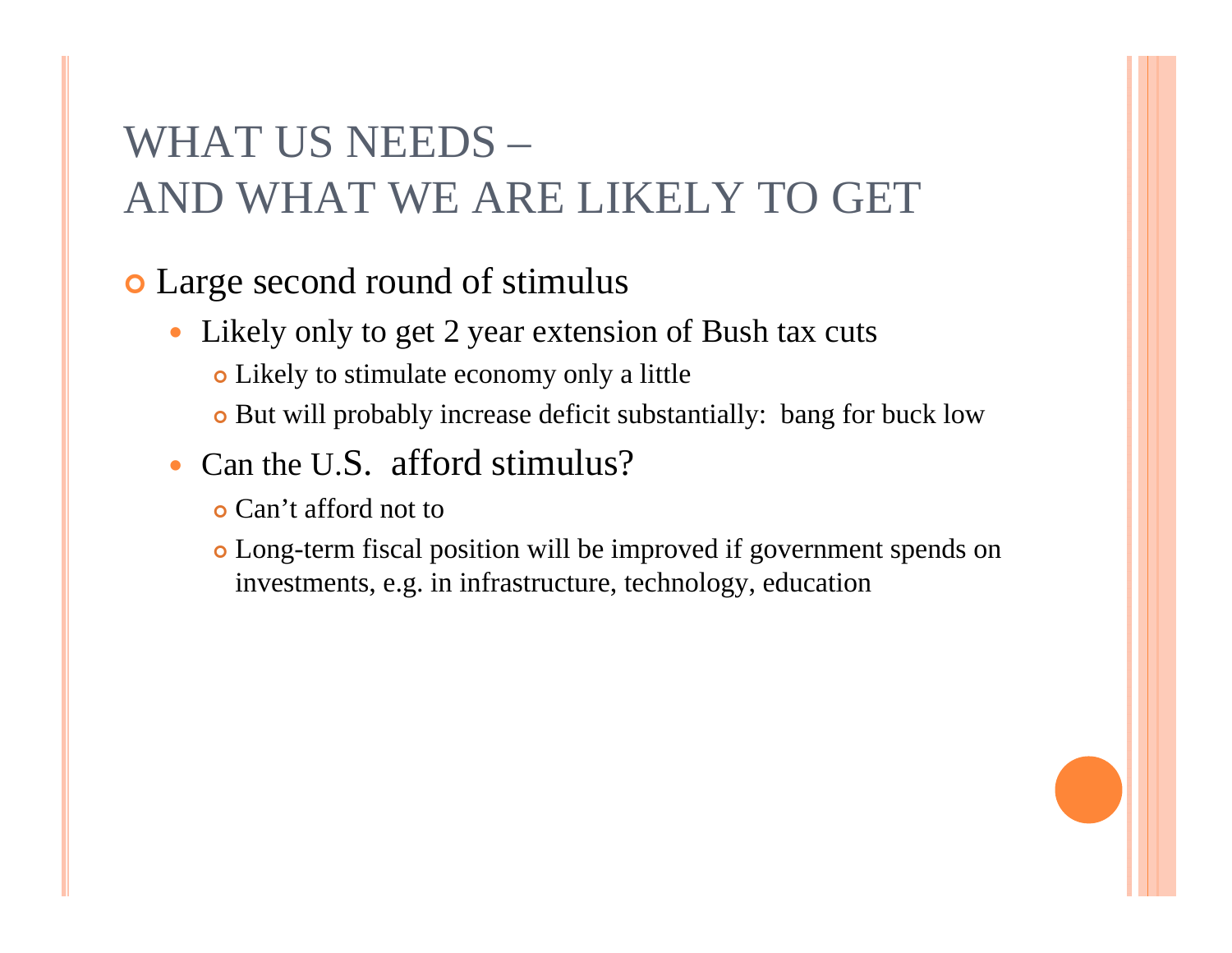# WHAT US NEEDS – AND WHAT WE ARE LIKELY TO GET

#### **o** Large second round of stimulus

- Likely only to get 2 year extension of Bush tax cuts
	- Likely to stimulate economy only a little
	- But will probably increase deficit substantially: bang for buck low
- Can the U.S. afford stimulus?
	- **o** Can't afford not to
	- Long-term fiscal position will be improved if government spends on investments, e.g. in infrastructure, technology, education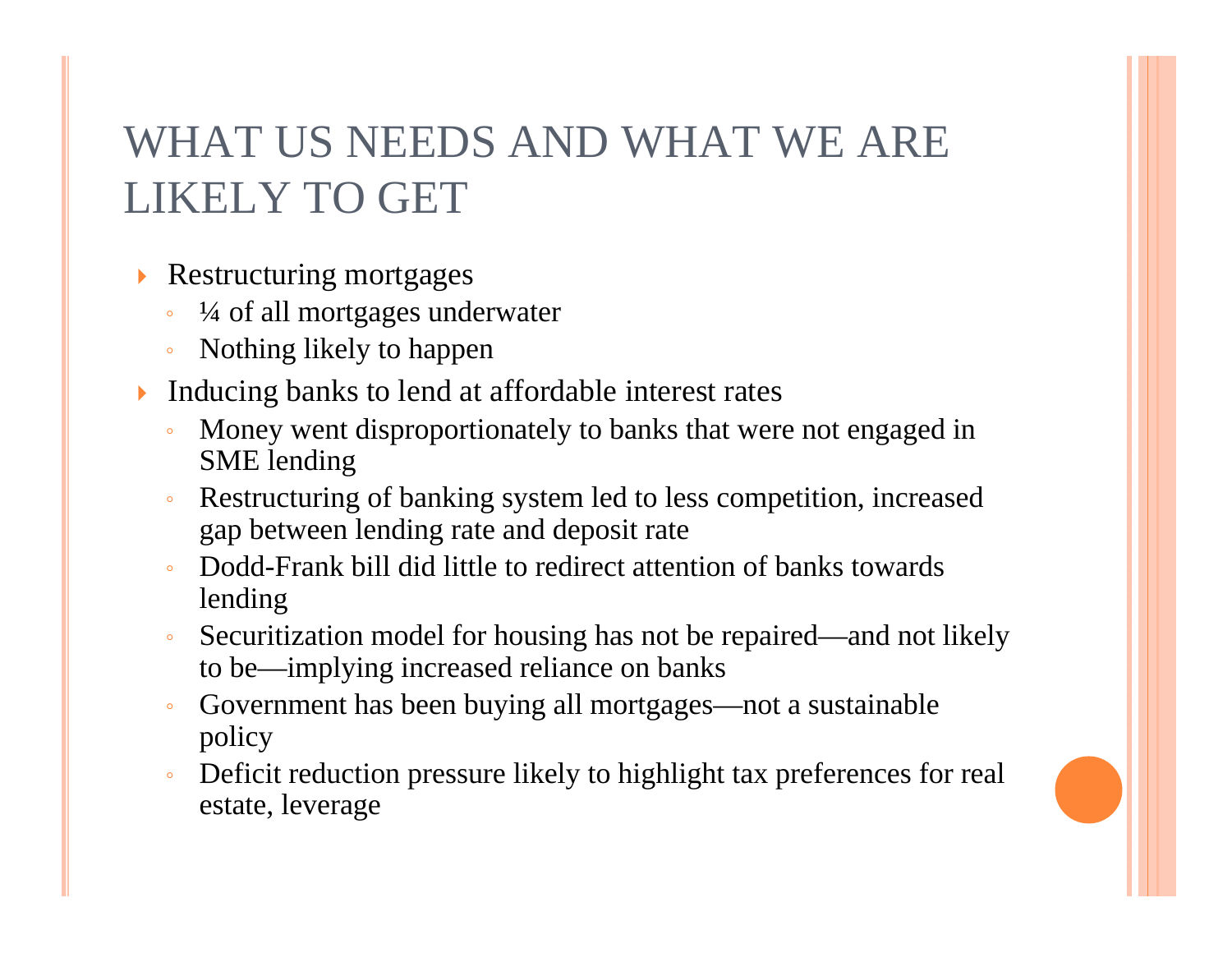# WHAT US NEEDS AND WHAT WE ARE LIKELY TO GET

- $\blacktriangleright$  Restructuring mortgages
	- $\bullet$ ¼ of all mortgages underwater
	- $\circ$ Nothing likely to happen
- $\blacktriangleright$  Inducing banks to lend at affordable interest rates
	- $\overline{O}$  Money went disproportionately to banks that were not engaged in SME lending
	- $\circ$  Restructuring of banking system led to less competition, increased gap between lending rate and deposit rate
	- Dodd-Frank bill did little to redirect attention of banks towards lending
	- $\circ$  Securitization model for housing has not be repaired—and not likely to be—implying increased reliance on banks
	- $\circ$  Government has been buying all mortgages—not a sustainable policy
	- $\bullet$  Deficit reduction pressure likely to highlight tax preferences for real estate, leverage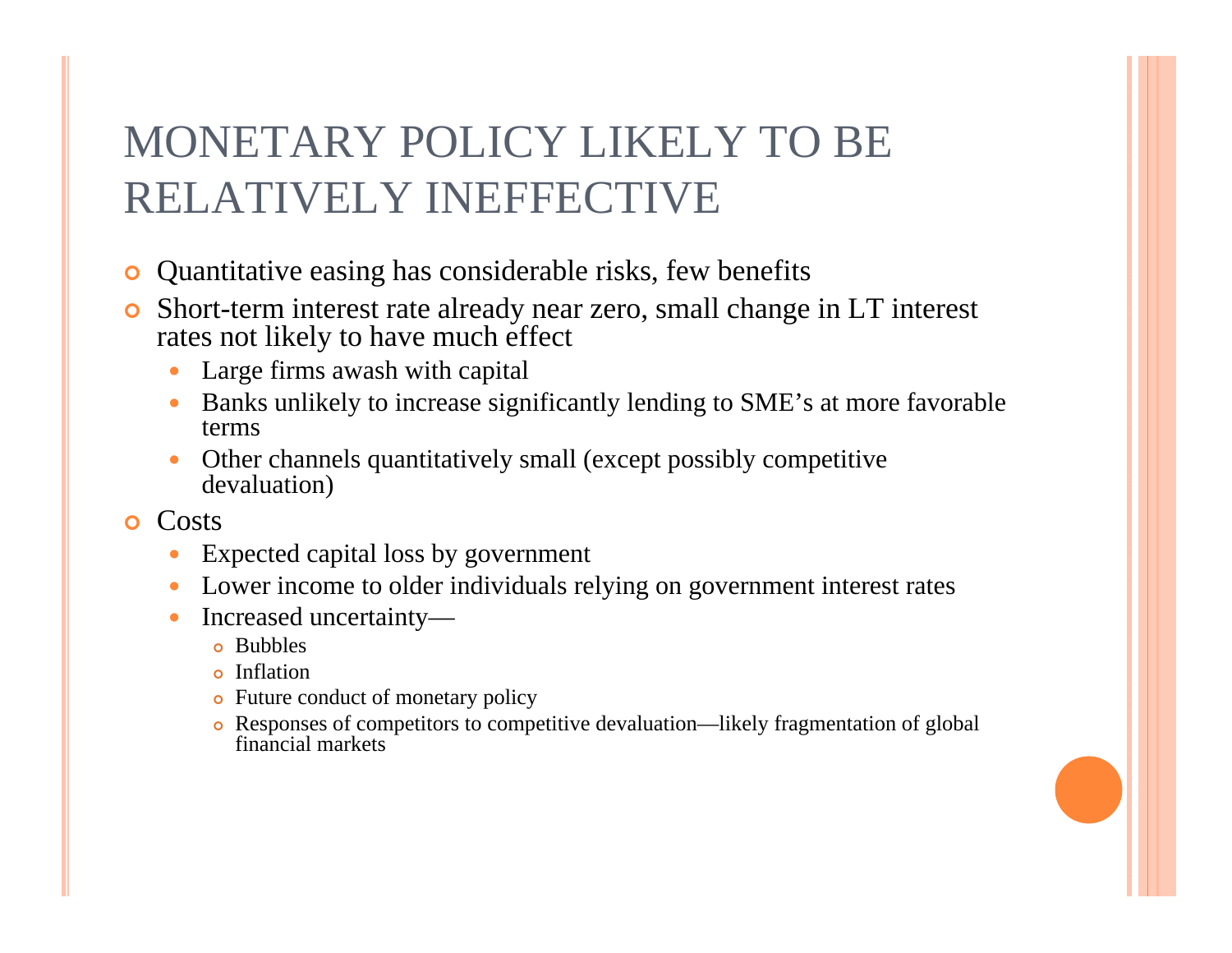# MONETARY POLICY LIKELY TO BE RELATIVELY INEFFECTIVE

- **•** Quantitative easing has considerable risks, few benefits
- О Short-term interest rate already near zero, small change in LT interest rates not likely to have much effect
	- $\bullet$ Large firms awash with capital
	- 0 Banks unlikely to increase significantly lending to SME's at more favorable terms
	- $\bullet$  Other channels quantitatively small (except possibly competitive devaluation)
- **o** Costs
	- $\bullet$ Expected capital loss by government
	- Lower income to older individuals relying on government interest rates
	- $\bullet$  Increased uncertainty
		- **o** Bubbles
		- **•** Inflation
		- Future conduct of monetary policy
		- Responses of competitors to competitive devaluation—likely fragmentation of global financial markets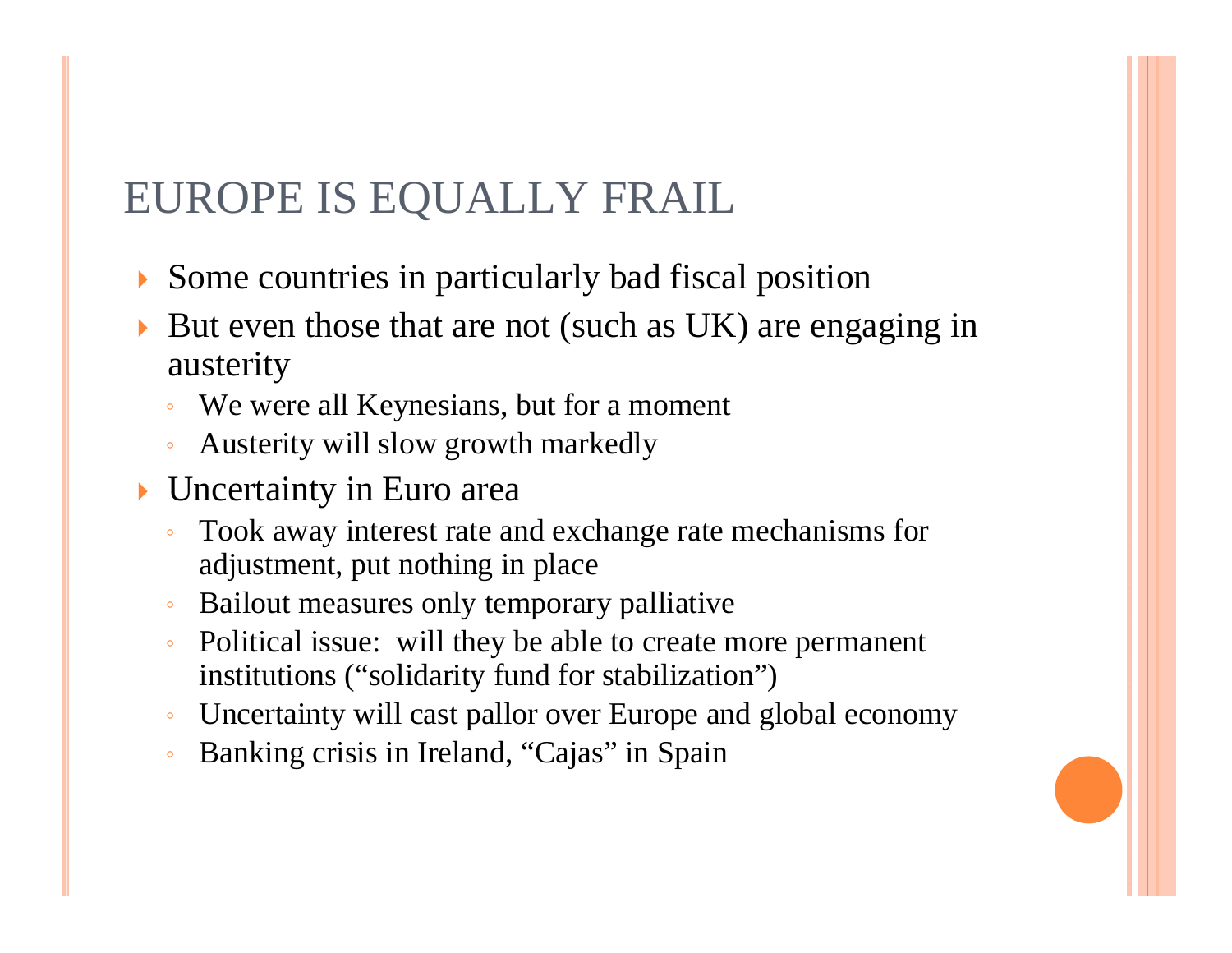#### EUROPE IS EQUALLY FRAIL

- Some countries in particularly bad fiscal position
- But even those that are not (such as UK) are engaging in austerity
	- $\circ$ We were all Keynesians, but for a moment
	- $\circ$ Austerity will slow growth markedly
- Uncertainty in Euro area
	- $\overline{O}$  Took away interest rate and exchange rate mechanisms for adjustment, put nothing in place
	- Bailout measures only temporary palliative
	- $\mathsf{o}$  Political issue: will they be able to create more permanent institutions ("solidarity fund for stabilization")
	- $\circ$ Uncertainty will cast pallor over Europe and global economy
	- $\circ$ Banking crisis in Ireland, "Cajas" in Spain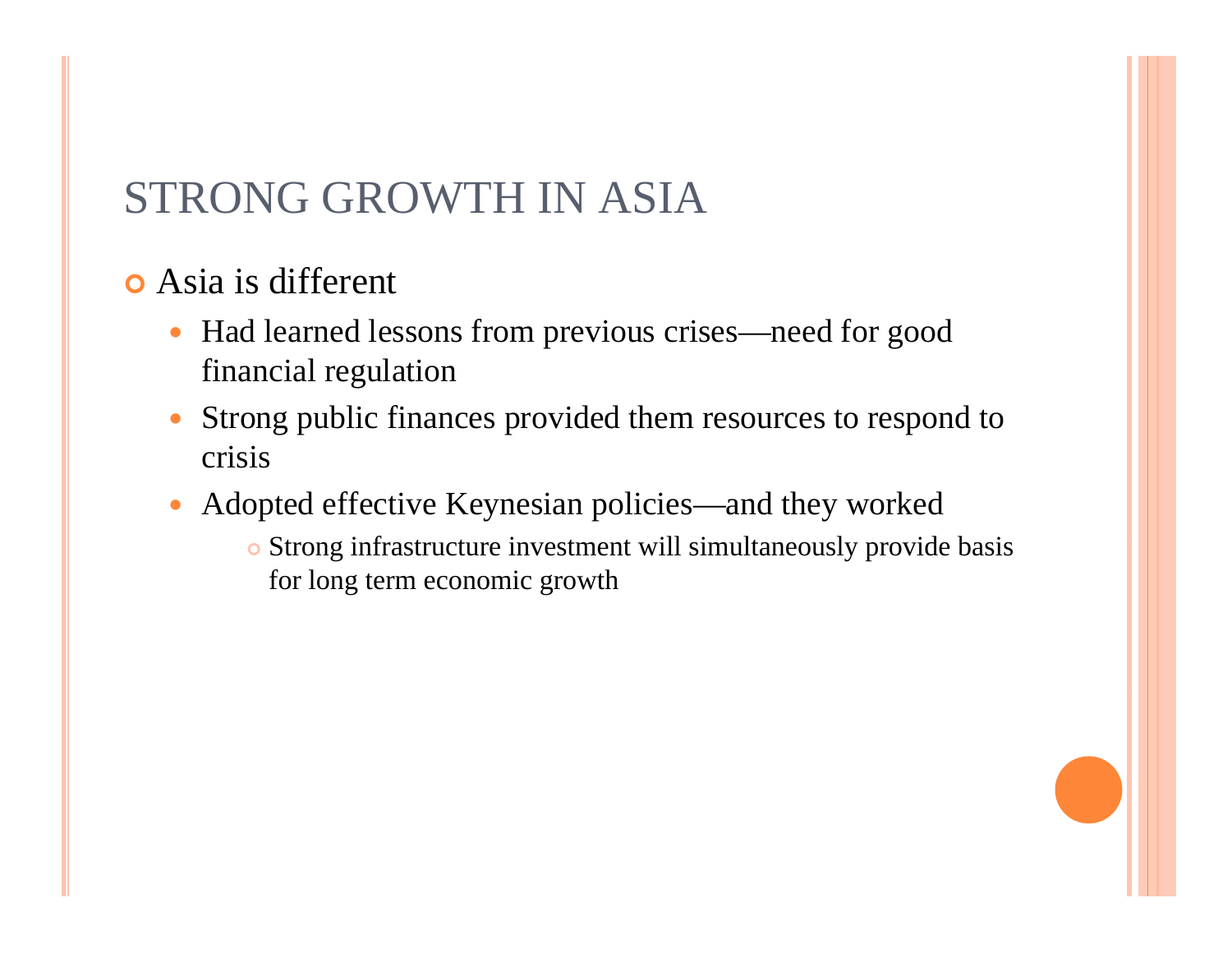#### STRONG GROWTH IN ASIA

- Asia is different
	- $\bullet$  Had learned lessons from previous crises—need for good financial regulation
	- Strong public finances provided them resources to respond to crisis
	- $\bullet$  Adopted effective Keynesian policies—and they worked
		- Strong infrastructure investment will simultaneously provide basis for long term economic growth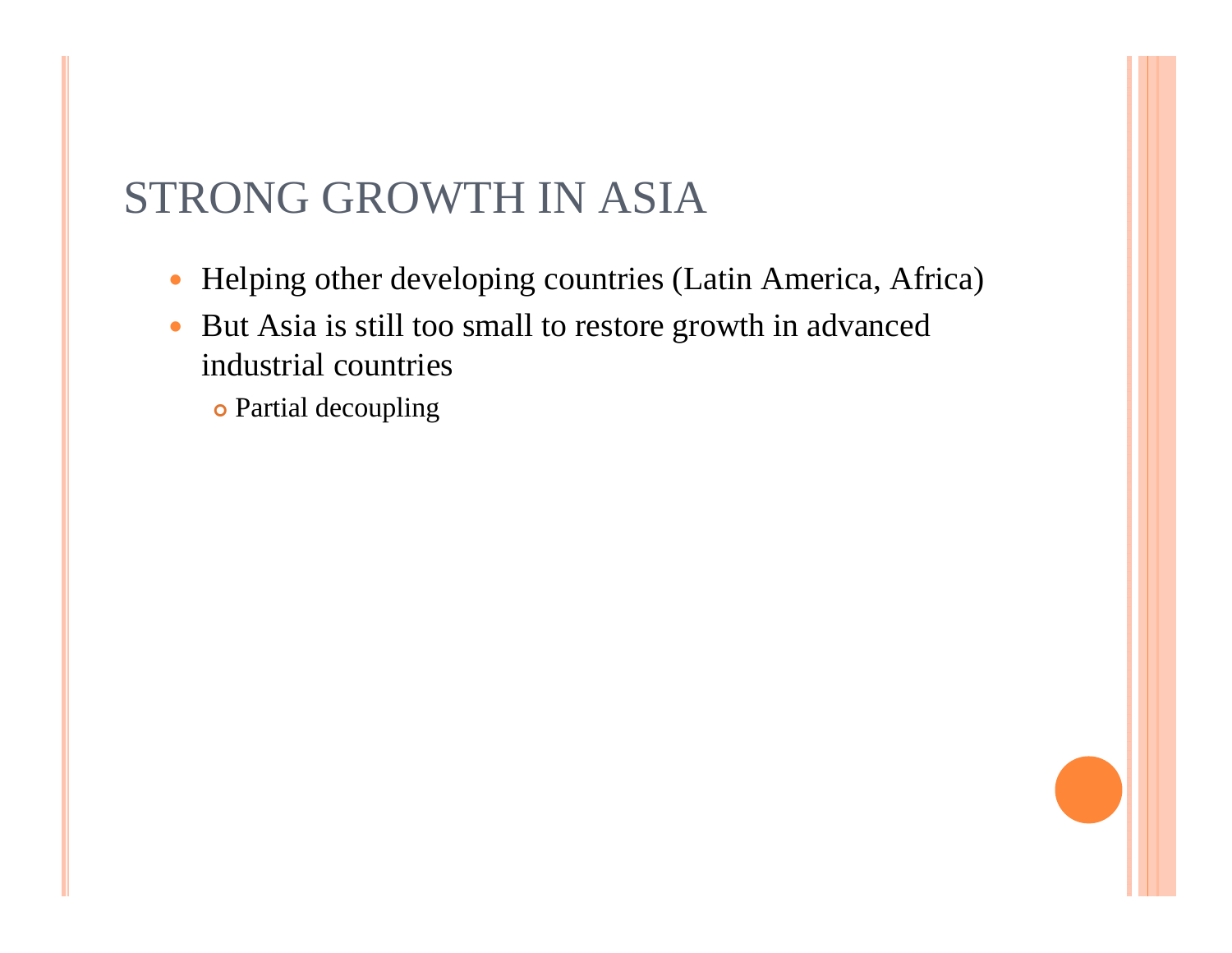#### STRONG GROWTH IN ASIA

- $\bullet$ Helping other developing countries (Latin America, Africa)
- $\bullet$  But Asia is still too small to restore growth in advanced industrial countries
	- **•** Partial decoupling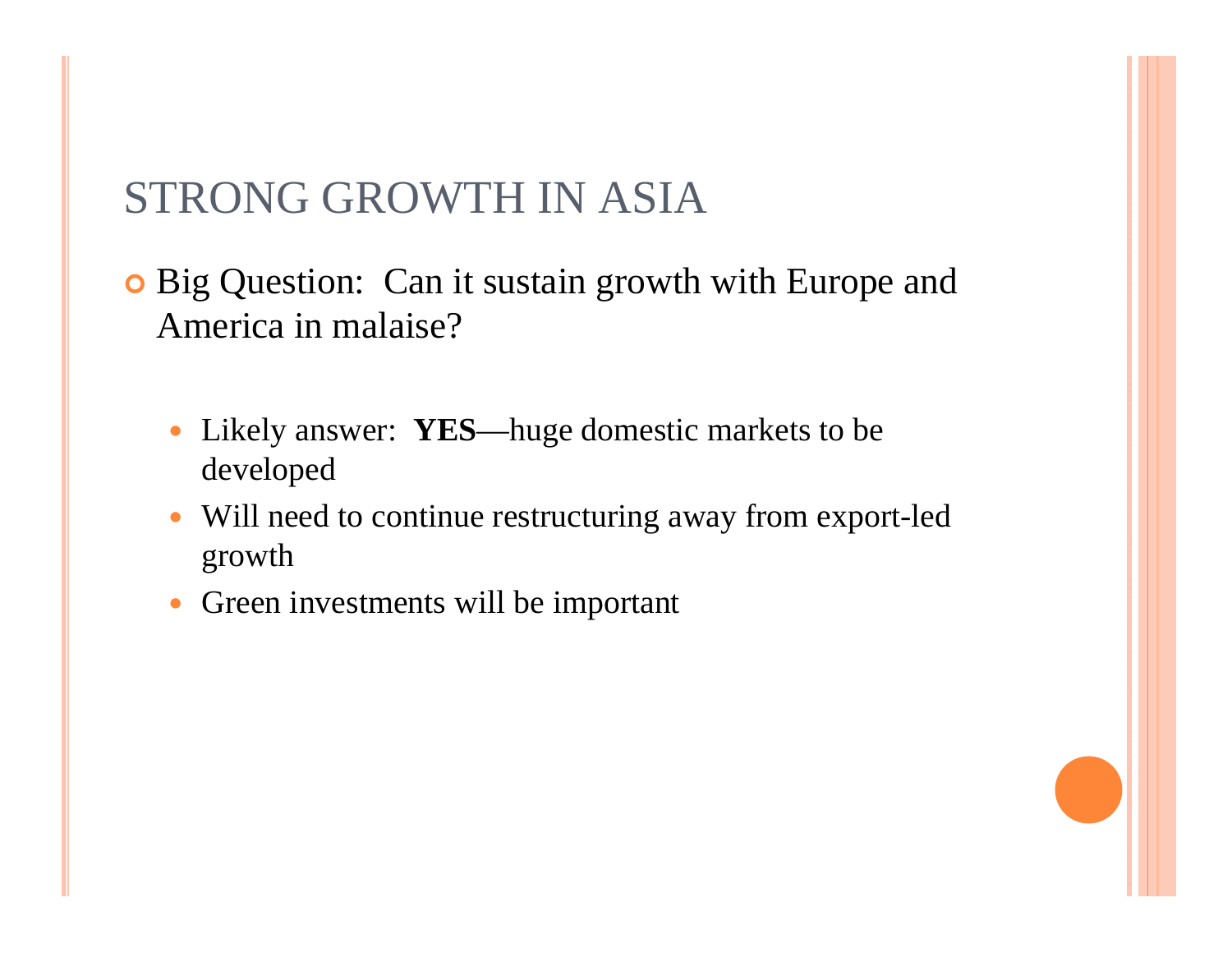#### STRONG GROWTH IN ASIA

**•** Big Question: Can it sustain growth with Europe and America in malaise?

- Likely answer: **YES**—huge domestic markets to be developed
- Will need to continue restructuring away from export-led growth
- Green investments will be important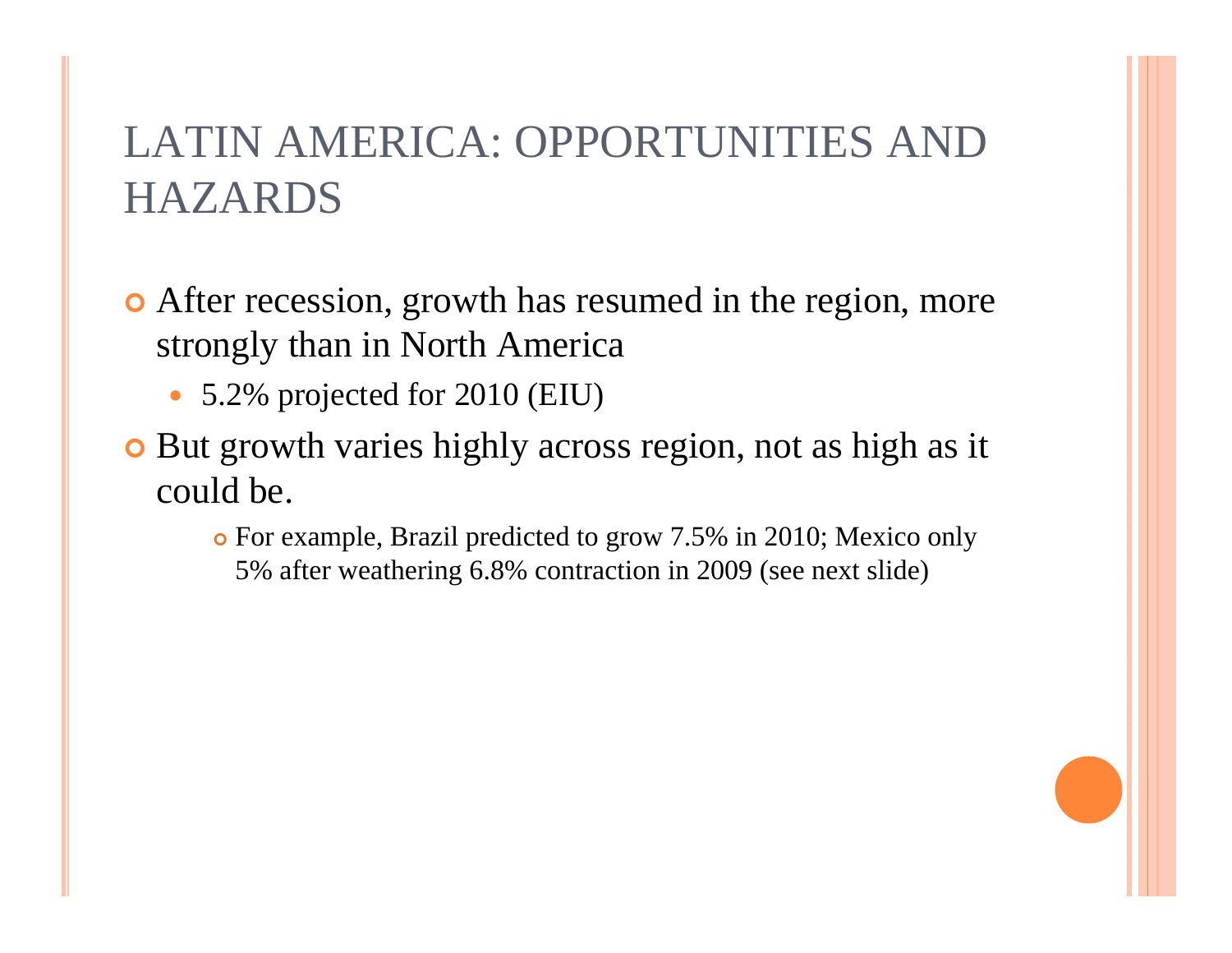- After recession, growth has resumed in the region, more strongly than in North America
	- 5.2% projected for 2010 (EIU)
- **•** But growth varies highly across region, not as high as it could be.
	- For example, Brazil predicted to grow 7.5% in 2010; Mexico only 5% after weathering 6.8% contraction in 2009 (see next slide)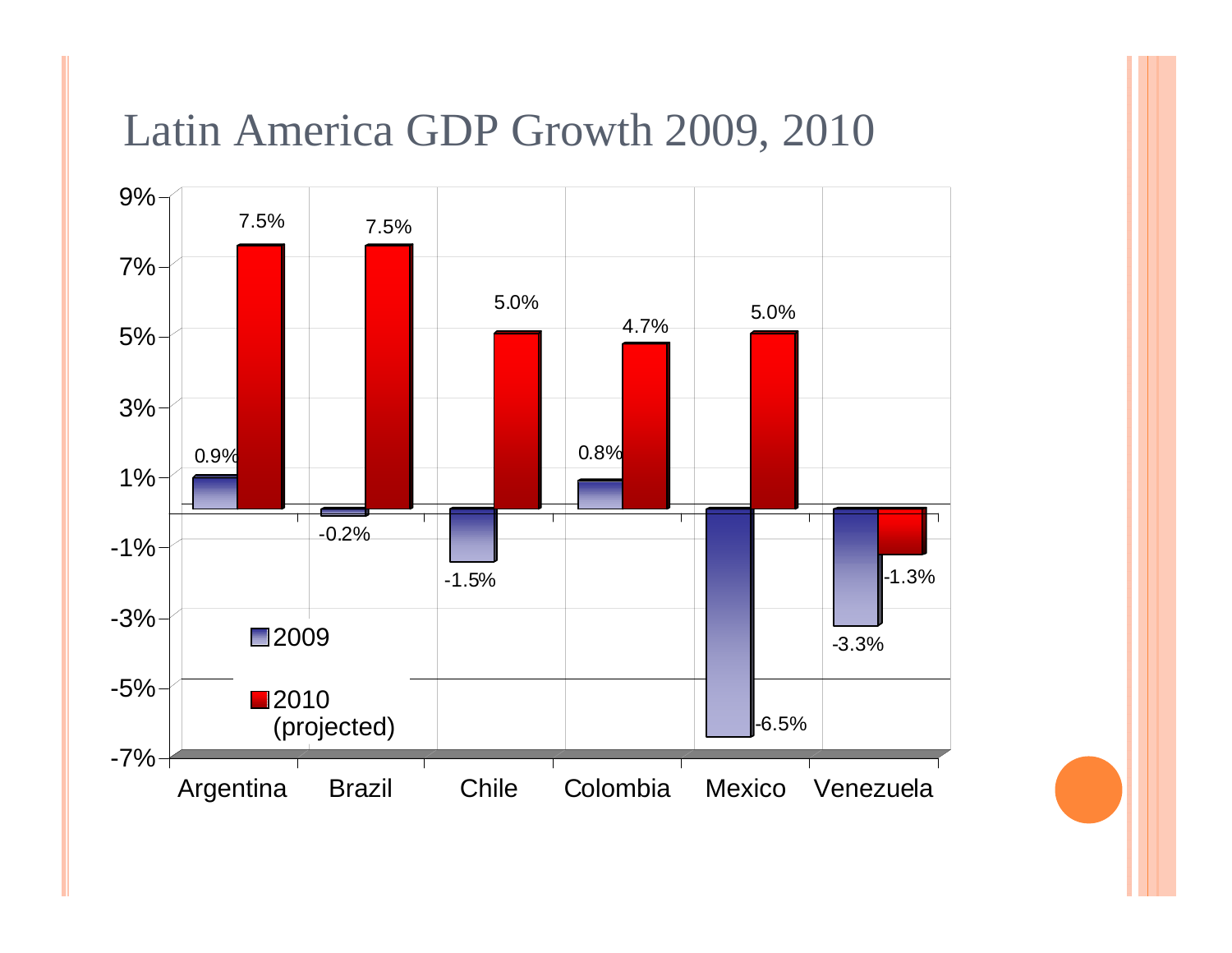#### Latin America GDP Growth 2009, 2010

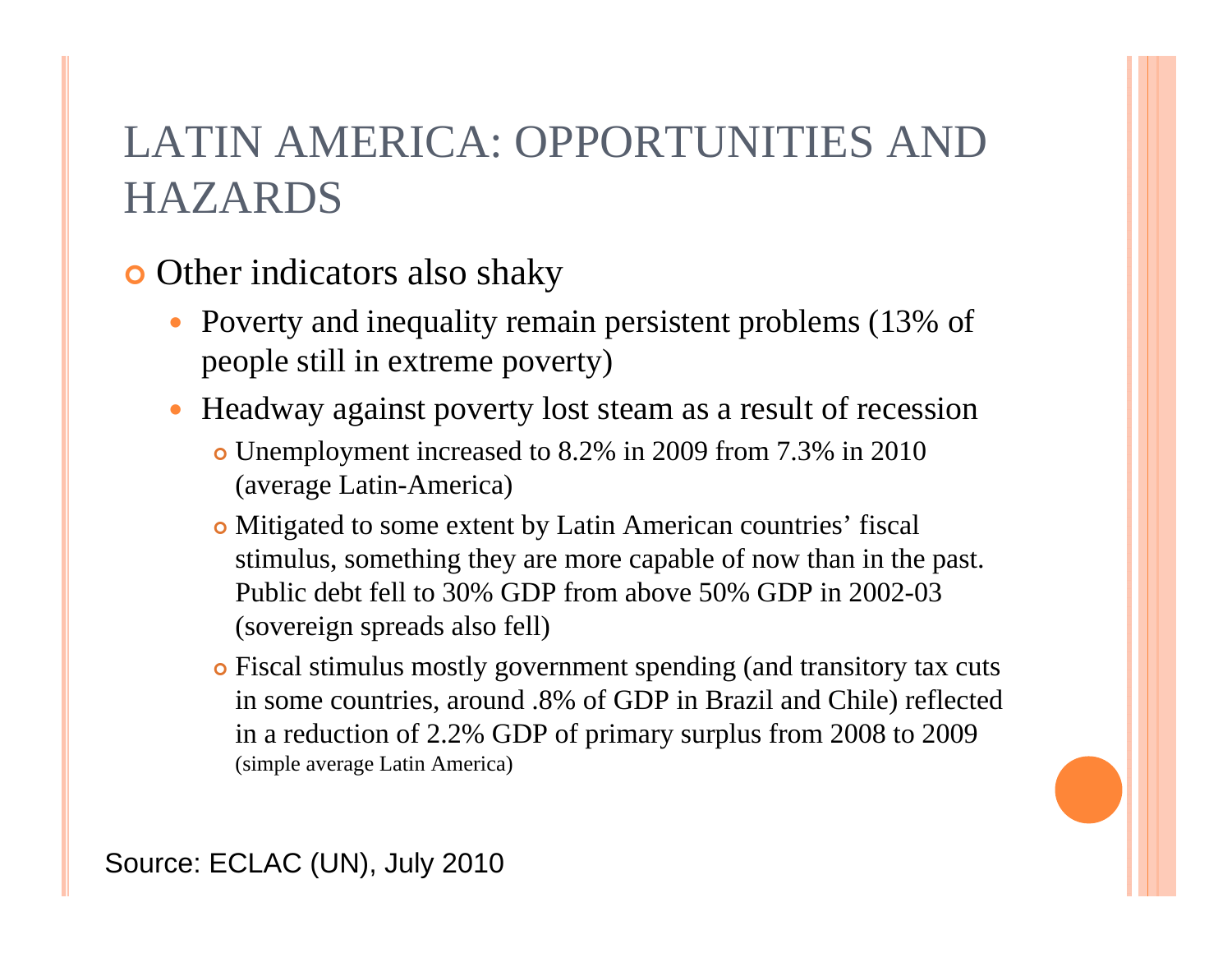#### **o** Other indicators also shaky

- Poverty and inequality remain persistent problems (13% of people still in extreme poverty)
- $\bullet$  Headway against poverty lost steam as a result of recession
	- Unemployment increased to 8.2% in 2009 from 7.3% in 2010 (average Latin-America)
	- Mitigated to some extent by Latin American countries' fiscal stimulus, something they are more capable of now than in the past. Public debt fell to 30% GDP from above 50% GDP in 2002-03 (sovereign spreads also fell)
	- Fiscal stimulus mostly government spending (and transitory tax cuts in some countries, around .8% of GDP in Brazil and Chile) reflected in a reduction of 2.2% GDP of primary surplus from 2008 to 2009 (simple average Latin America)

Source: ECLAC (UN), July 2010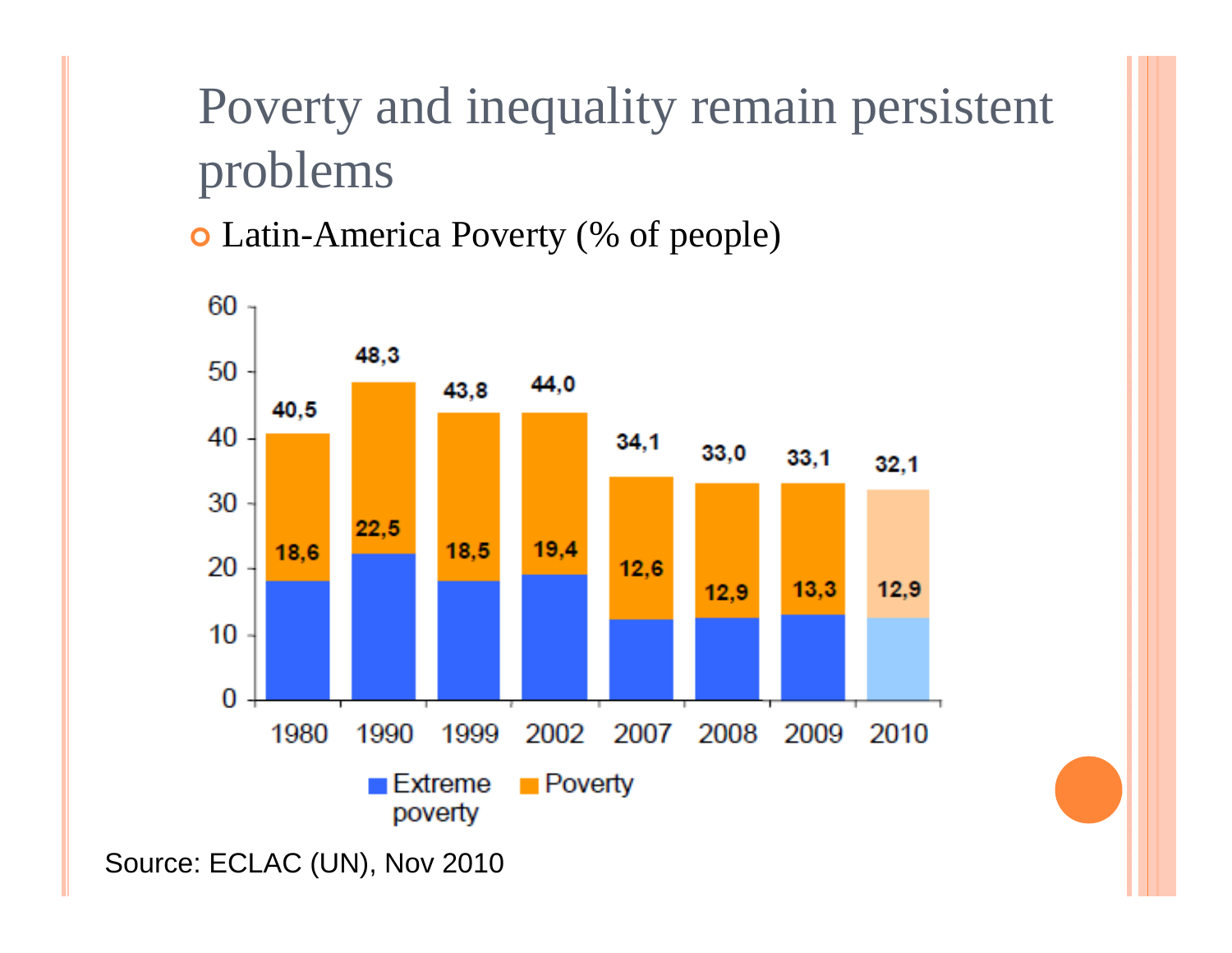# Poverty and inequality remain persistent problems

Latin-America Poverty (% of people)



Source: ECLAC (UN), Nov 2010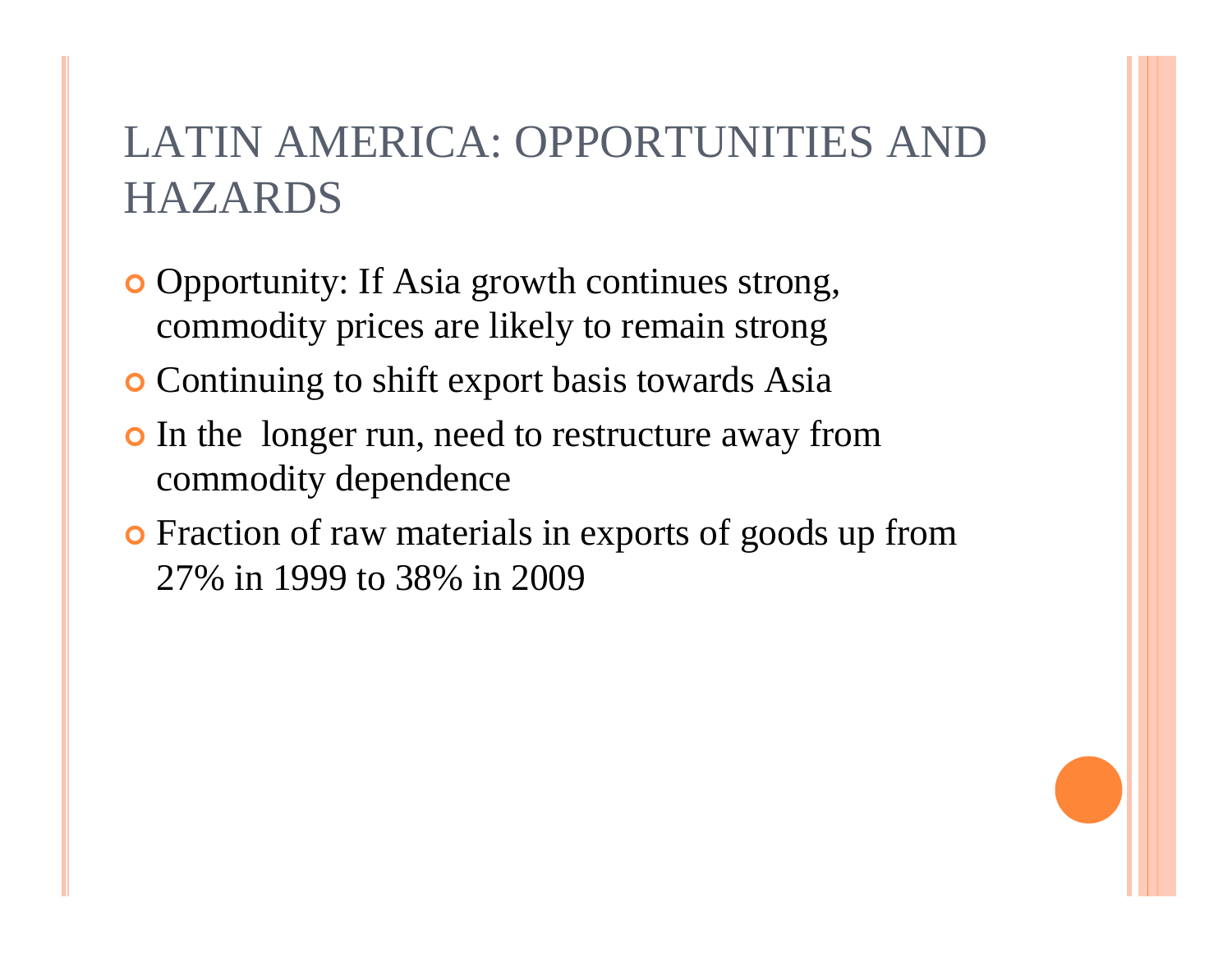- **o** Opportunity: If Asia growth continues strong, commodity prices are likely to remain strong
- **o** Continuing to shift export basis towards Asia
- **•** In the longer run, need to restructure away from commodity dependence
- **•** Fraction of raw materials in exports of goods up from 27% in 1999 to 38% in 2009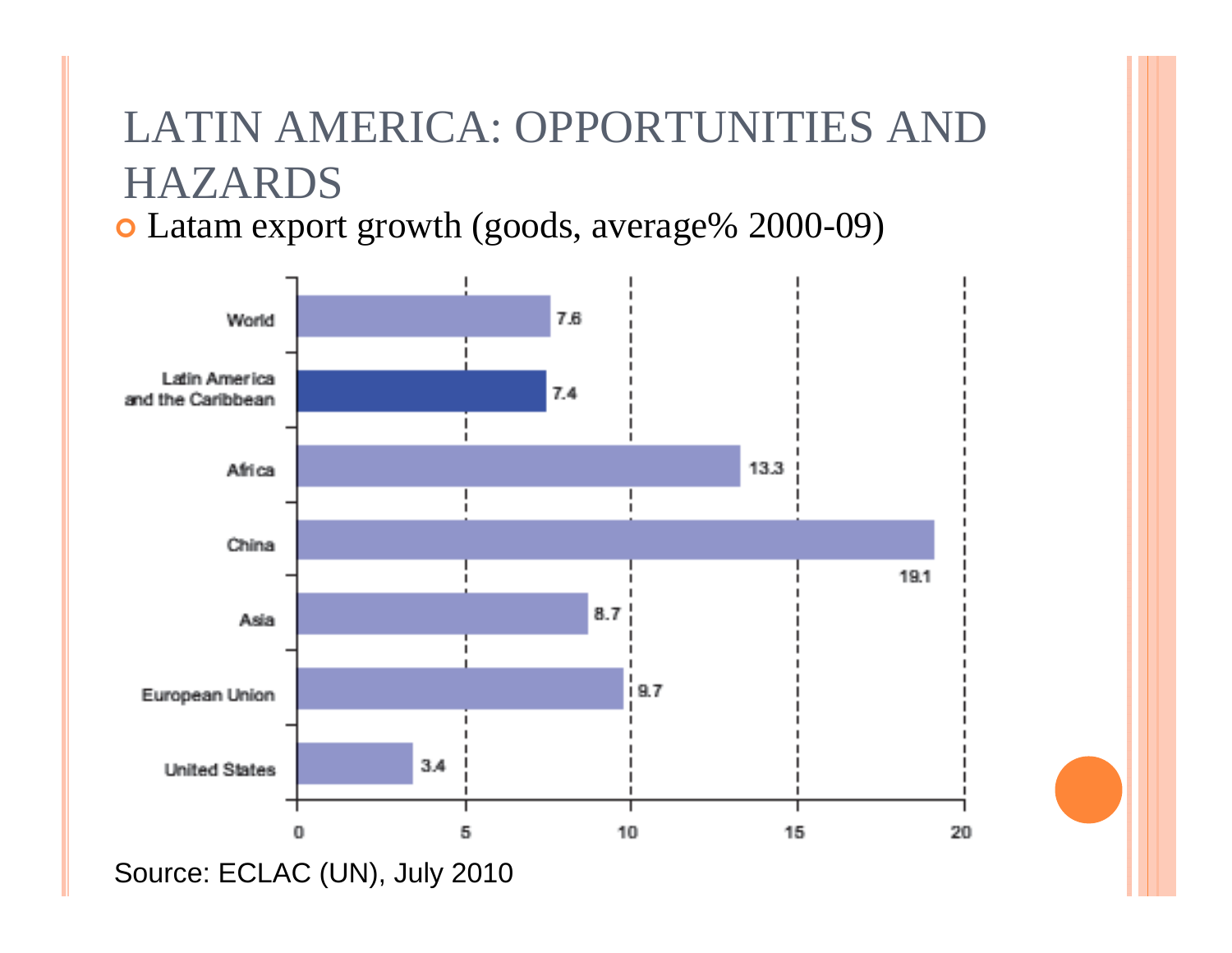Latam export growth (goods, average% 2000-09)



Source: ECLAC (UN), July 2010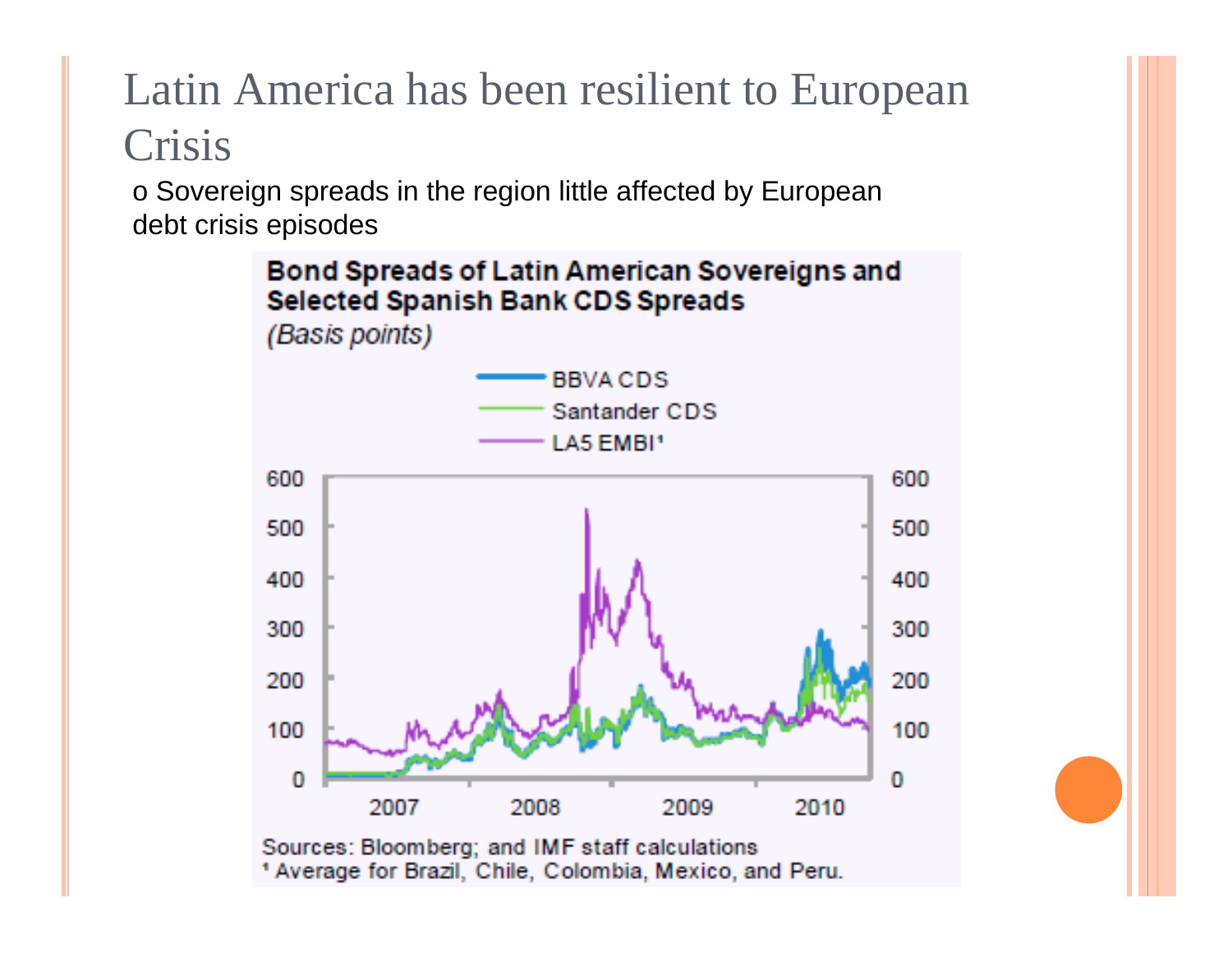# Latin America has been resilient to European Crisis

o Sovereign spreads in the region little affected by European debt crisis episodes

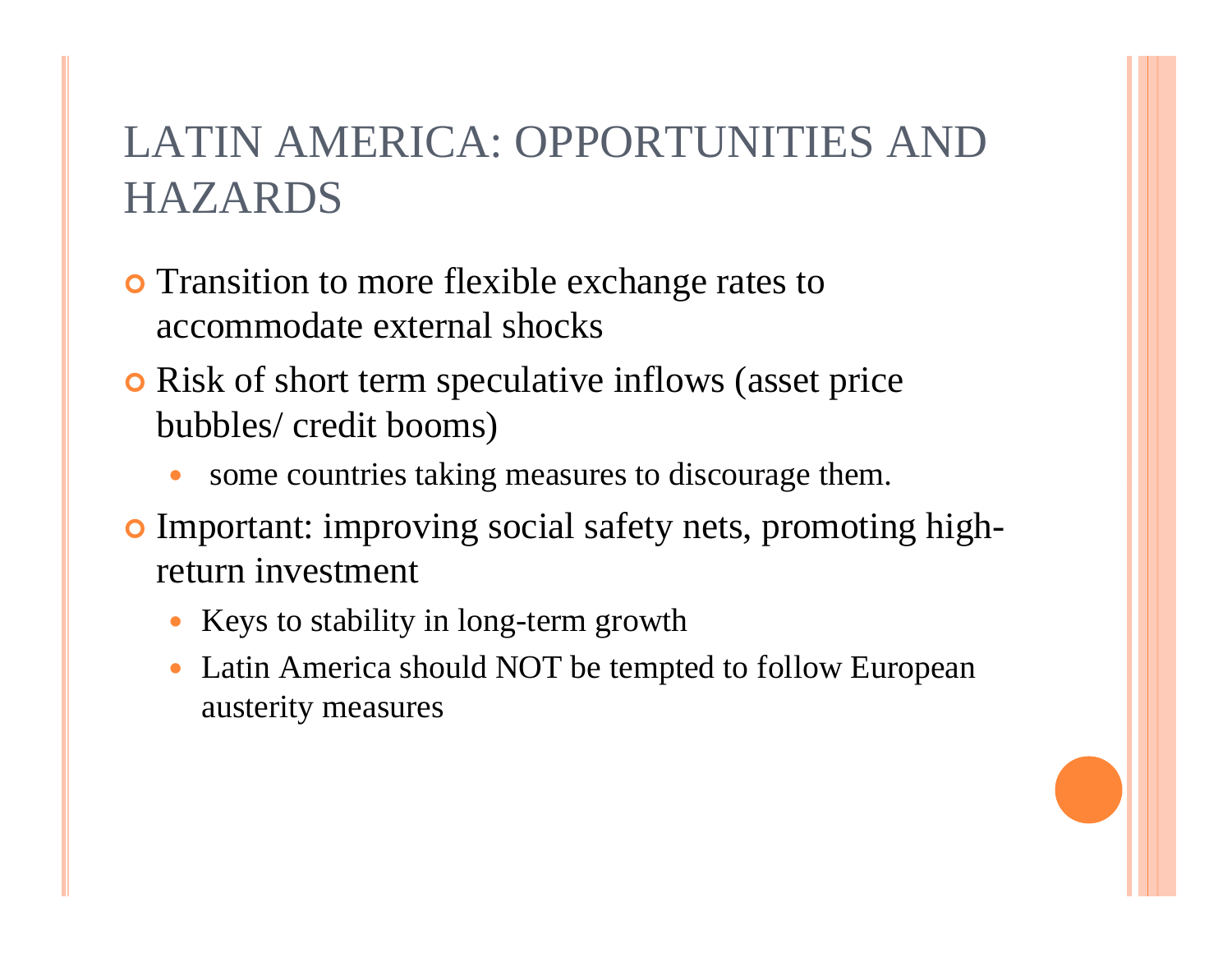- **•** Transition to more flexible exchange rates to accommodate external shocks
- **o** Risk of short term speculative inflows (asset price bubbles/ credit booms)
	- 0 some countries taking measures to discourage them.
- **o** Important: improving social safety nets, promoting highreturn investment
	- Keys to stability in long-term growth
	- $\bullet$  Latin America should NOT be tempted to follow European austerity measures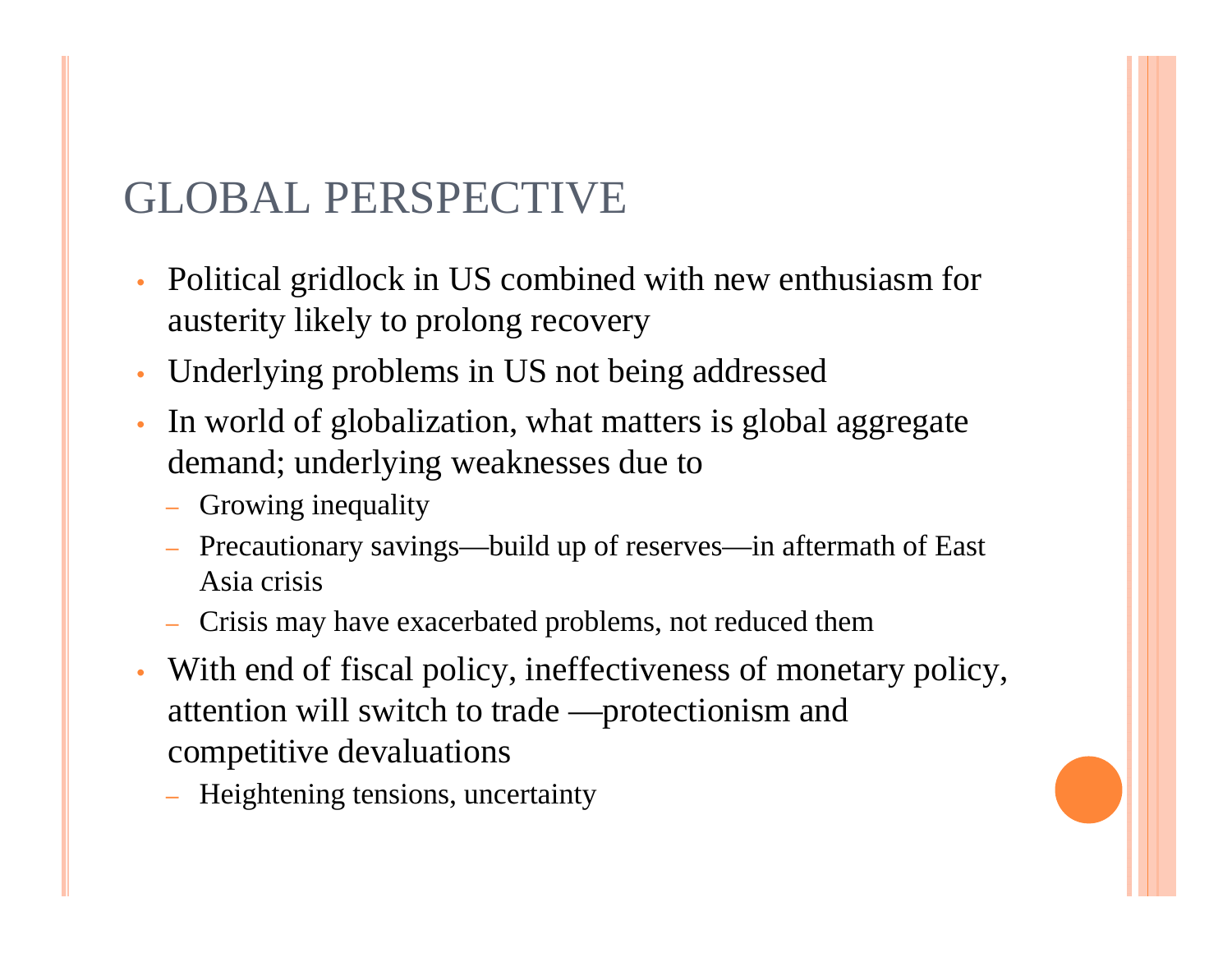#### GLOBAL PERSPECTIVE

- Political gridlock in US combined with new enthusiasm for austerity likely to prolong recovery
- Underlying problems in US not being addressed
- In world of globalization, what matters is global aggregate demand; underlying weaknesses due to
	- Growing inequality
	- Precautionary savings—build up of reserves—in aftermath of East Asia crisis
	- Crisis may have exacerbated problems, not reduced them
- With end of fiscal policy, ineffectiveness of monetary policy, attention will switch to trade —protectionism and competitive devaluations
	- Heightening tensions, uncertainty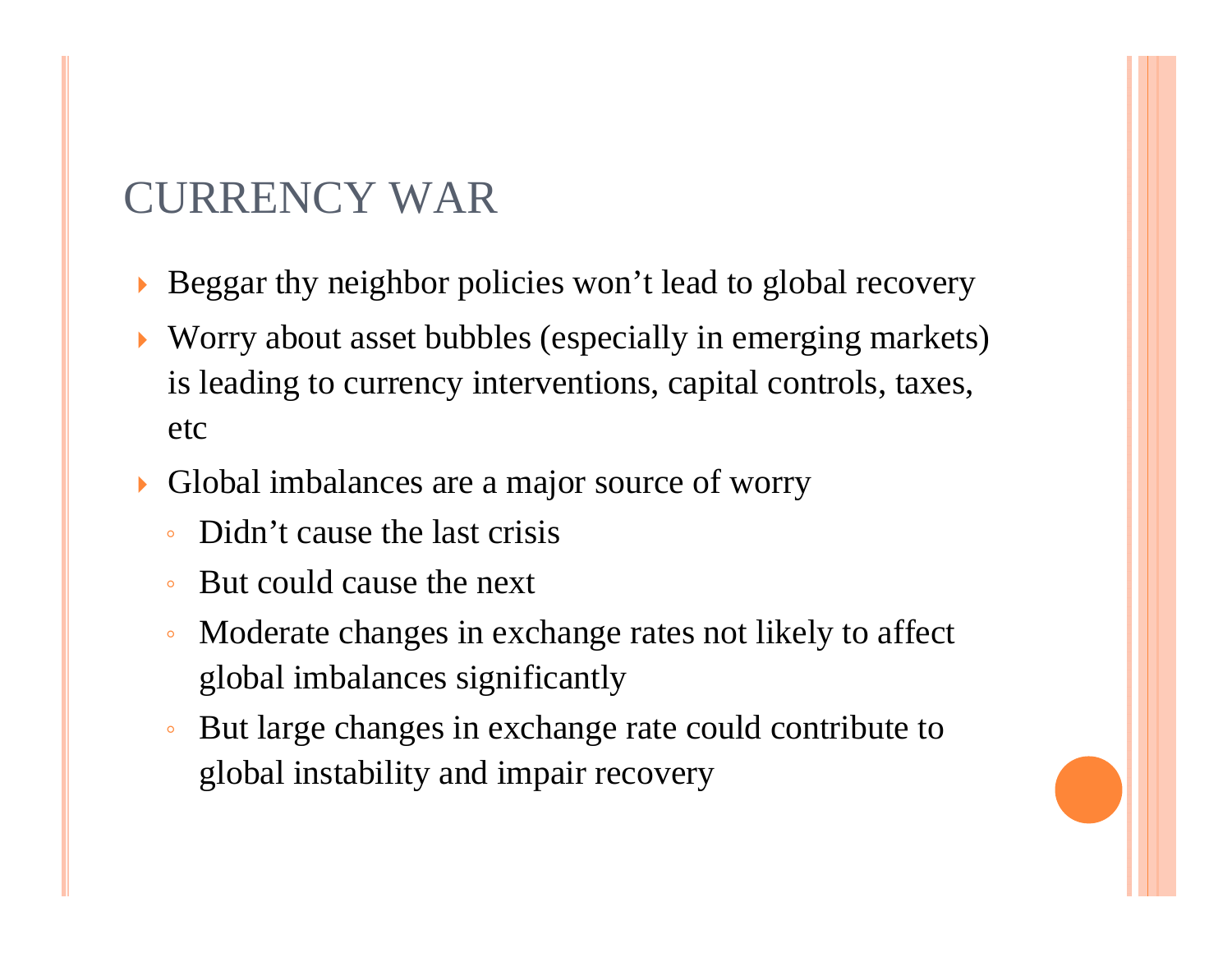#### CURRENCY WAR

- $\blacktriangleright$ Beggar thy neighbor policies won't lead to global recovery
- $\blacktriangleright$  Worry about asset bubbles (especially in emerging markets) is leading to currency interventions, capital controls, taxes, etc
- $\blacktriangleright$  Global imbalances are a major source of worry
	- $\circ$ Didn't cause the last crisis
	- $\mathsf{o}$ But could cause the next
	- $\circ$  Moderate changes in exchange rates not likely to affect global imbalances significantly
	- $\overline{O}$  But large changes in exchange rate could contribute to global instability and impair recovery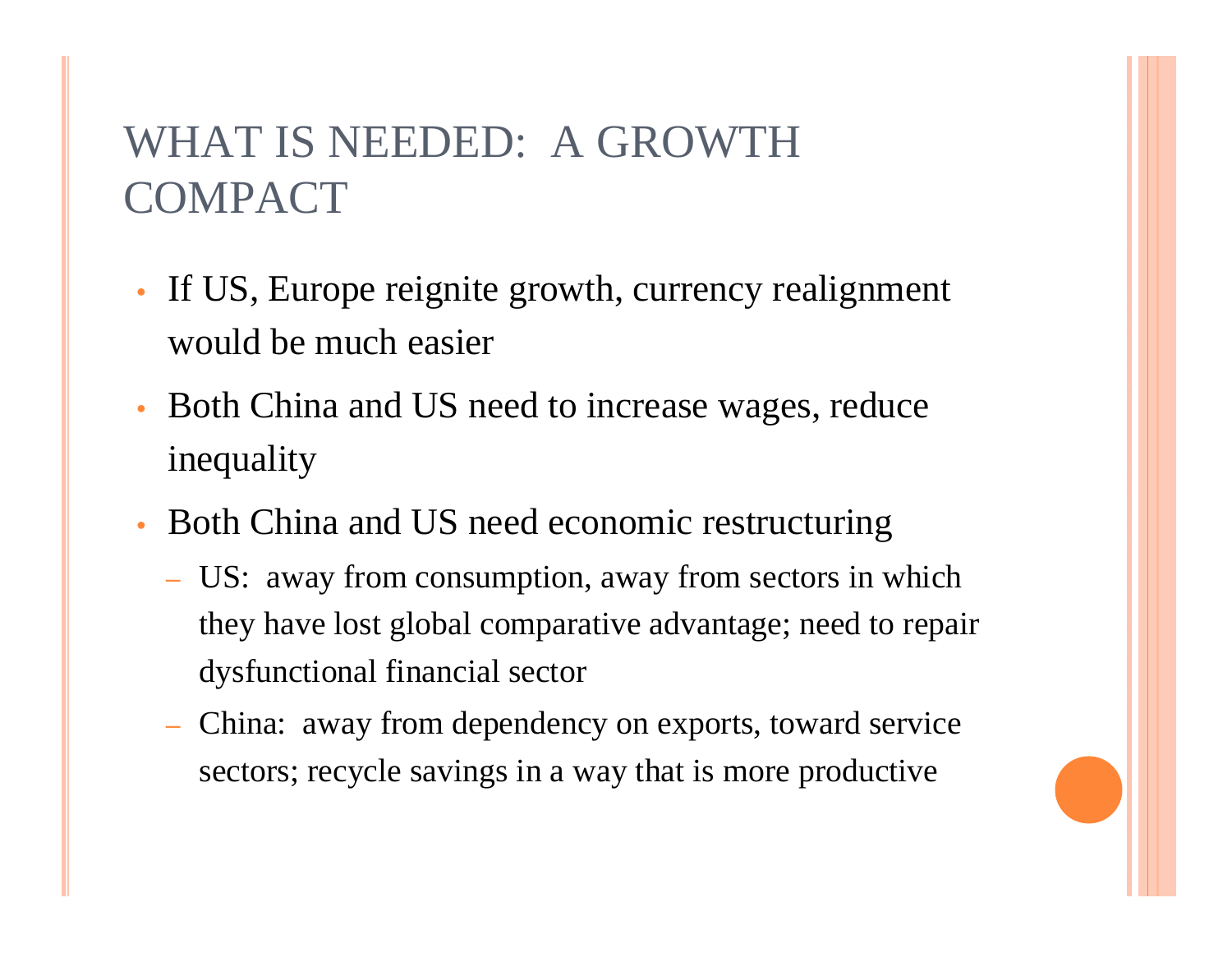## WHAT IS NEEDED: A GROWTH COMPACT

- If US, Europe reignite growth, currency realignment would be much easier
- Both China and US need to increase wages, reduce inequality
- Both China and US need economic restructuring
	- US: away from consumption, away from sectors in which they have lost global comparative advantage; need to repair dysfunctional financial sector
	- China: away from dependency on exports, toward service sectors; recycle savings in a way that is more productive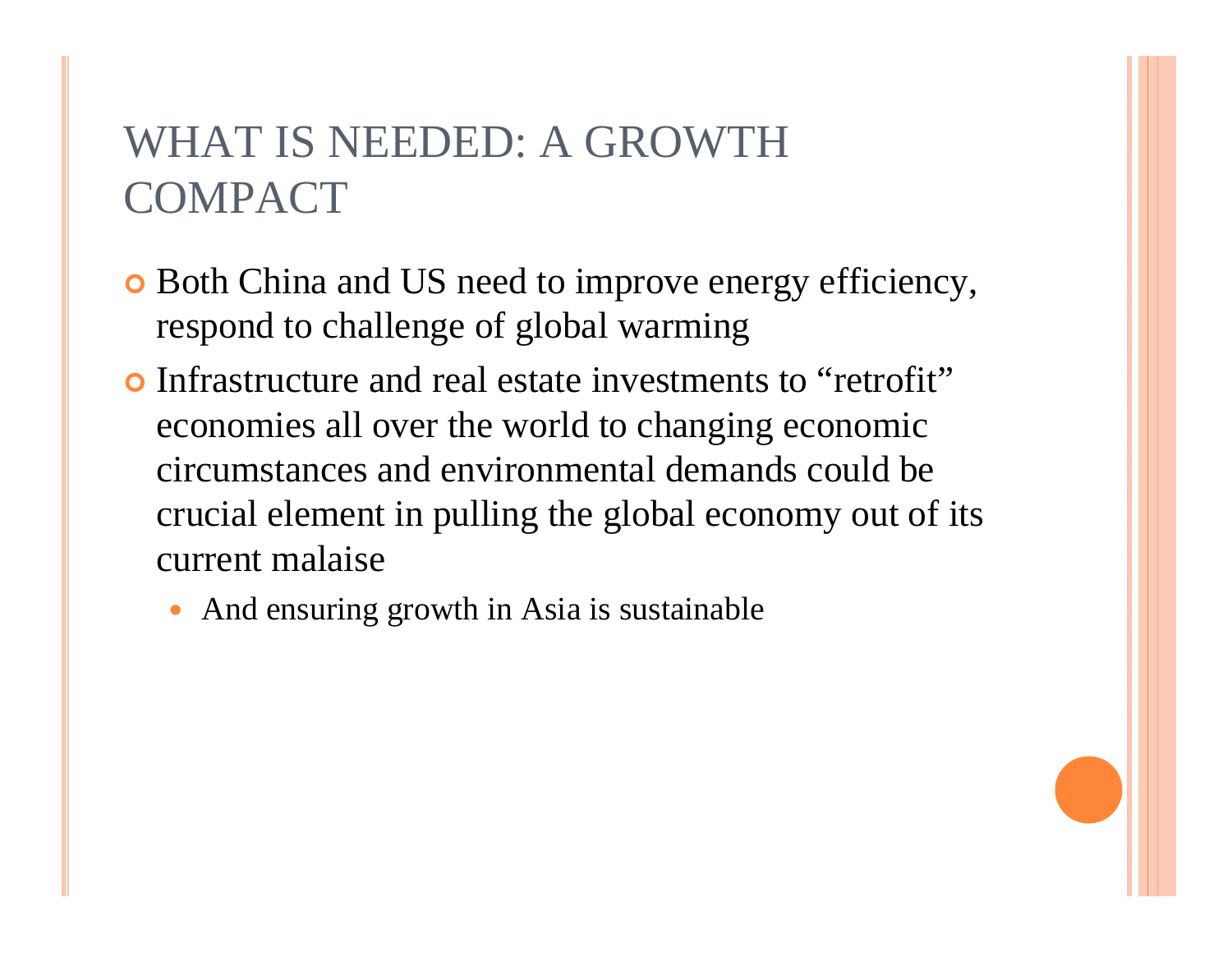## WHAT IS NEEDED: A GROWTH COMPACT

- **o** Both China and US need to improve energy efficiency, respond to challenge of global warming
- Infrastructure and real estate investments to "retrofit" economies all over the world to changing economic circumstances and environmental demands could be crucial element in pulling the global economy out of its current malaise
	- 0 And ensuring growth in Asia is sustainable